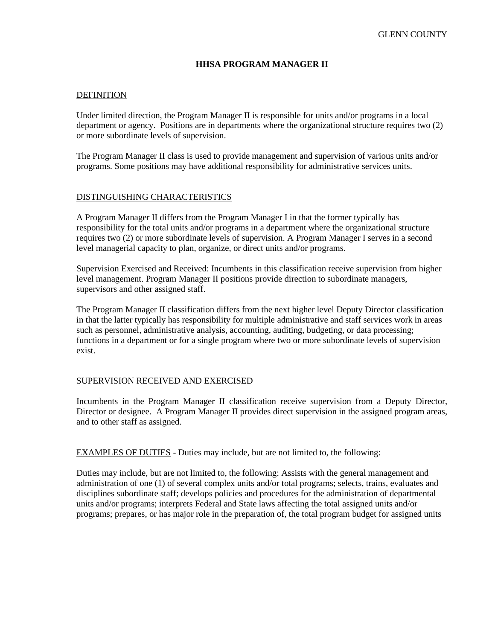# **HHSA PROGRAM MANAGER II**

#### DEFINITION

Under limited direction, the Program Manager II is responsible for units and/or programs in a local department or agency. Positions are in departments where the organizational structure requires two (2) or more subordinate levels of supervision.

The Program Manager II class is used to provide management and supervision of various units and/or programs. Some positions may have additional responsibility for administrative services units.

#### DISTINGUISHING CHARACTERISTICS

A Program Manager II differs from the Program Manager I in that the former typically has responsibility for the total units and/or programs in a department where the organizational structure requires two (2) or more subordinate levels of supervision. A Program Manager I serves in a second level managerial capacity to plan, organize, or direct units and/or programs.

Supervision Exercised and Received: Incumbents in this classification receive supervision from higher level management. Program Manager II positions provide direction to subordinate managers, supervisors and other assigned staff.

The Program Manager II classification differs from the next higher level Deputy Director classification in that the latter typically has responsibility for multiple administrative and staff services work in areas such as personnel, administrative analysis, accounting, auditing, budgeting, or data processing; functions in a department or for a single program where two or more subordinate levels of supervision exist.

#### SUPERVISION RECEIVED AND EXERCISED

Incumbents in the Program Manager II classification receive supervision from a Deputy Director, Director or designee. A Program Manager II provides direct supervision in the assigned program areas, and to other staff as assigned.

EXAMPLES OF DUTIES - Duties may include, but are not limited to, the following:

Duties may include, but are not limited to, the following: Assists with the general management and administration of one (1) of several complex units and/or total programs; selects, trains, evaluates and disciplines subordinate staff; develops policies and procedures for the administration of departmental units and/or programs; interprets Federal and State laws affecting the total assigned units and/or programs; prepares, or has major role in the preparation of, the total program budget for assigned units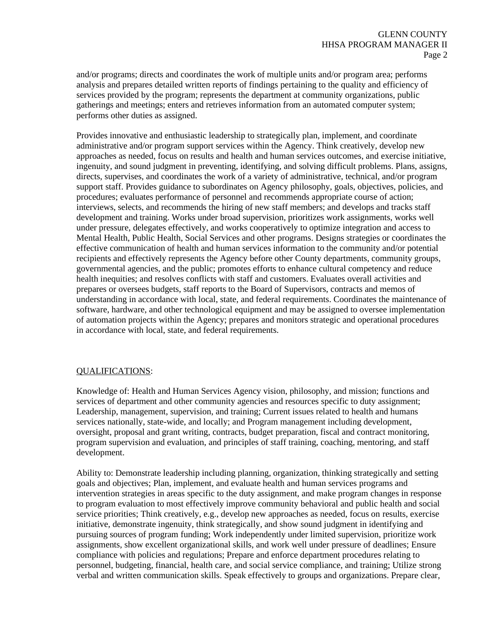and/or programs; directs and coordinates the work of multiple units and/or program area; performs analysis and prepares detailed written reports of findings pertaining to the quality and efficiency of services provided by the program; represents the department at community organizations, public gatherings and meetings; enters and retrieves information from an automated computer system; performs other duties as assigned.

Provides innovative and enthusiastic leadership to strategically plan, implement, and coordinate administrative and/or program support services within the Agency. Think creatively, develop new approaches as needed, focus on results and health and human services outcomes, and exercise initiative, ingenuity, and sound judgment in preventing, identifying, and solving difficult problems. Plans, assigns, directs, supervises, and coordinates the work of a variety of administrative, technical, and/or program support staff. Provides guidance to subordinates on Agency philosophy, goals, objectives, policies, and procedures; evaluates performance of personnel and recommends appropriate course of action; interviews, selects, and recommends the hiring of new staff members; and develops and tracks staff development and training. Works under broad supervision, prioritizes work assignments, works well under pressure, delegates effectively, and works cooperatively to optimize integration and access to Mental Health, Public Health, Social Services and other programs. Designs strategies or coordinates the effective communication of health and human services information to the community and/or potential recipients and effectively represents the Agency before other County departments, community groups, governmental agencies, and the public; promotes efforts to enhance cultural competency and reduce health inequities; and resolves conflicts with staff and customers. Evaluates overall activities and prepares or oversees budgets, staff reports to the Board of Supervisors, contracts and memos of understanding in accordance with local, state, and federal requirements. Coordinates the maintenance of software, hardware, and other technological equipment and may be assigned to oversee implementation of automation projects within the Agency; prepares and monitors strategic and operational procedures in accordance with local, state, and federal requirements.

### QUALIFICATIONS:

Knowledge of: Health and Human Services Agency vision, philosophy, and mission; functions and services of department and other community agencies and resources specific to duty assignment; Leadership, management, supervision, and training; Current issues related to health and humans services nationally, state-wide, and locally; and Program management including development, oversight, proposal and grant writing, contracts, budget preparation, fiscal and contract monitoring, program supervision and evaluation, and principles of staff training, coaching, mentoring, and staff development.

Ability to: Demonstrate leadership including planning, organization, thinking strategically and setting goals and objectives; Plan, implement, and evaluate health and human services programs and intervention strategies in areas specific to the duty assignment, and make program changes in response to program evaluation to most effectively improve community behavioral and public health and social service priorities; Think creatively, e.g., develop new approaches as needed, focus on results, exercise initiative, demonstrate ingenuity, think strategically, and show sound judgment in identifying and pursuing sources of program funding; Work independently under limited supervision, prioritize work assignments, show excellent organizational skills, and work well under pressure of deadlines; Ensure compliance with policies and regulations; Prepare and enforce department procedures relating to personnel, budgeting, financial, health care, and social service compliance, and training; Utilize strong verbal and written communication skills. Speak effectively to groups and organizations. Prepare clear,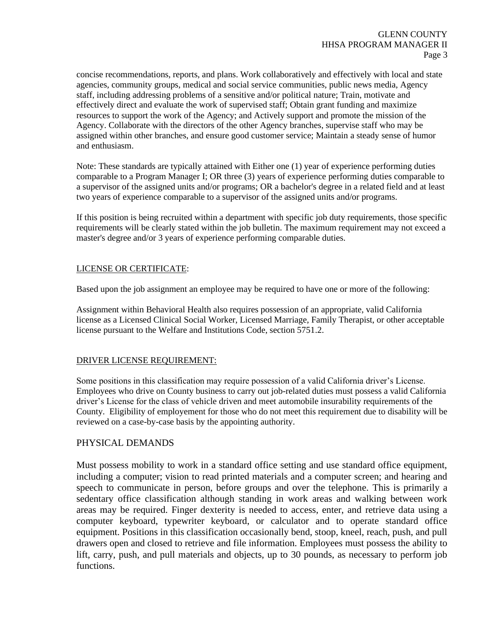concise recommendations, reports, and plans. Work collaboratively and effectively with local and state agencies, community groups, medical and social service communities, public news media, Agency staff, including addressing problems of a sensitive and/or political nature; Train, motivate and effectively direct and evaluate the work of supervised staff; Obtain grant funding and maximize resources to support the work of the Agency; and Actively support and promote the mission of the Agency. Collaborate with the directors of the other Agency branches, supervise staff who may be assigned within other branches, and ensure good customer service; Maintain a steady sense of humor and enthusiasm.

Note: These standards are typically attained with Either one (1) year of experience performing duties comparable to a Program Manager I; OR three (3) years of experience performing duties comparable to a supervisor of the assigned units and/or programs; OR a bachelor's degree in a related field and at least two years of experience comparable to a supervisor of the assigned units and/or programs.

If this position is being recruited within a department with specific job duty requirements, those specific requirements will be clearly stated within the job bulletin. The maximum requirement may not exceed a master's degree and/or 3 years of experience performing comparable duties.

### LICENSE OR CERTIFICATE:

Based upon the job assignment an employee may be required to have one or more of the following:

Assignment within Behavioral Health also requires possession of an appropriate, valid California license as a Licensed Clinical Social Worker, Licensed Marriage, Family Therapist, or other acceptable license pursuant to the Welfare and Institutions Code, section 5751.2.

### DRIVER LICENSE REQUIREMENT:

Some positions in this classification may require possession of a valid California driver's License. Employees who drive on County business to carry out job-related duties must possess a valid California driver's License for the class of vehicle driven and meet automobile insurability requirements of the County. Eligibility of employement for those who do not meet this requirement due to disability will be reviewed on a case-by-case basis by the appointing authority.

# PHYSICAL DEMANDS

Must possess mobility to work in a standard office setting and use standard office equipment, including a computer; vision to read printed materials and a computer screen; and hearing and speech to communicate in person, before groups and over the telephone. This is primarily a sedentary office classification although standing in work areas and walking between work areas may be required. Finger dexterity is needed to access, enter, and retrieve data using a computer keyboard, typewriter keyboard, or calculator and to operate standard office equipment. Positions in this classification occasionally bend, stoop, kneel, reach, push, and pull drawers open and closed to retrieve and file information. Employees must possess the ability to lift, carry, push, and pull materials and objects, up to 30 pounds, as necessary to perform job functions.